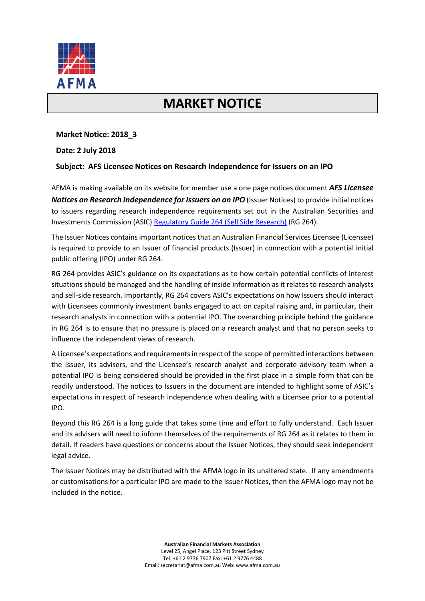

# **MARKET NOTICE**

### **Market Notice: 2018\_3**

### **Date: 2 July 2018**

## **Subject: AFS Licensee Notices on Research Independence for Issuers on an IPO**

AFMA is making available on its website for member use a one page notices document *AFS Licensee Notices on Research Independence for Issuers on an IPO* (Issuer Notices) to provide initial notices to issuers regarding research independence requirements set out in the Australian Securities and Investments Commission (ASIC[\) Regulatory Guide 264 \(Sell Side Research\)](https://asic.gov.au/regulatory-resources/find-a-document/regulatory-guides/rg-264-sell-side-research/) (RG 264).

The Issuer Notices contains important notices that an Australian Financial Services Licensee (Licensee) is required to provide to an Issuer of financial products (Issuer) in connection with a potential initial public offering (IPO) under RG 264.

RG 264 provides ASIC's guidance on its expectations as to how certain potential conflicts of interest situations should be managed and the handling of inside information as it relates to research analysts and sell-side research. Importantly, RG 264 covers ASIC's expectations on how Issuers should interact with Licensees commonly investment banks engaged to act on capital raising and, in particular, their research analysts in connection with a potential IPO. The overarching principle behind the guidance in RG 264 is to ensure that no pressure is placed on a research analyst and that no person seeks to influence the independent views of research.

A Licensee's expectations and requirements in respect of the scope of permitted interactions between the Issuer, its advisers, and the Licensee's research analyst and corporate advisory team when a potential IPO is being considered should be provided in the first place in a simple form that can be readily understood. The notices to Issuers in the document are intended to highlight some of ASIC's expectations in respect of research independence when dealing with a Licensee prior to a potential IPO.

Beyond this RG 264 is a long guide that takes some time and effort to fully understand. Each Issuer and its advisers will need to inform themselves of the requirements of RG 264 as it relates to them in detail. If readers have questions or concerns about the Issuer Notices, they should seek independent legal advice.

The Issuer Notices may be distributed with the AFMA logo in its unaltered state. If any amendments or customisations for a particular IPO are made to the Issuer Notices, then the AFMA logo may not be included in the notice.